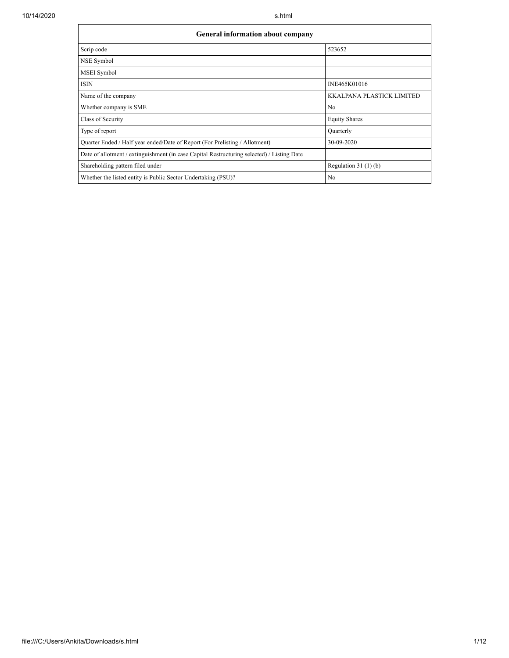$\mathsf{r}$ 

| General information about company                                                          |                                  |  |  |  |  |  |  |
|--------------------------------------------------------------------------------------------|----------------------------------|--|--|--|--|--|--|
| Scrip code                                                                                 | 523652                           |  |  |  |  |  |  |
| NSE Symbol                                                                                 |                                  |  |  |  |  |  |  |
| MSEI Symbol                                                                                |                                  |  |  |  |  |  |  |
| <b>ISIN</b>                                                                                | INE465K01016                     |  |  |  |  |  |  |
| Name of the company                                                                        | <b>KKALPANA PLASTICK LIMITED</b> |  |  |  |  |  |  |
| Whether company is SME                                                                     | N <sub>o</sub>                   |  |  |  |  |  |  |
| Class of Security                                                                          | <b>Equity Shares</b>             |  |  |  |  |  |  |
| Type of report                                                                             | Quarterly                        |  |  |  |  |  |  |
| Quarter Ended / Half year ended/Date of Report (For Prelisting / Allotment)                | 30-09-2020                       |  |  |  |  |  |  |
| Date of allotment / extinguishment (in case Capital Restructuring selected) / Listing Date |                                  |  |  |  |  |  |  |
| Shareholding pattern filed under                                                           | Regulation $31(1)(b)$            |  |  |  |  |  |  |
| Whether the listed entity is Public Sector Undertaking (PSU)?                              | No                               |  |  |  |  |  |  |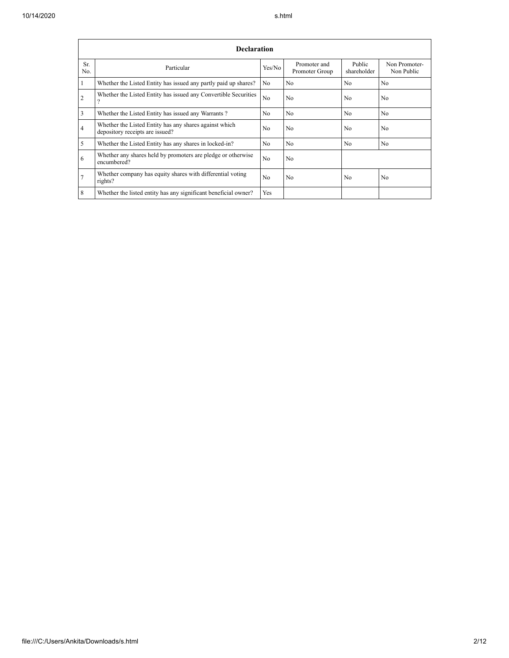|                | <b>Declaration</b>                                                                        |                |                                |                       |                             |  |  |  |  |
|----------------|-------------------------------------------------------------------------------------------|----------------|--------------------------------|-----------------------|-----------------------------|--|--|--|--|
| Sr.<br>No.     | Particular                                                                                | Yes/No         | Promoter and<br>Promoter Group | Public<br>shareholder | Non Promoter-<br>Non Public |  |  |  |  |
| 1              | Whether the Listed Entity has issued any partly paid up shares?                           | No.            | No                             | N <sub>0</sub>        | N <sub>0</sub>              |  |  |  |  |
| $\overline{2}$ | Whether the Listed Entity has issued any Convertible Securities<br>$\Omega$               | N <sub>0</sub> | N <sub>o</sub>                 | N <sub>0</sub>        | N <sub>0</sub>              |  |  |  |  |
| 3              | Whether the Listed Entity has issued any Warrants?                                        | N <sub>0</sub> | N <sub>0</sub>                 | No.                   | No                          |  |  |  |  |
| $\overline{4}$ | Whether the Listed Entity has any shares against which<br>depository receipts are issued? | No             | N <sub>o</sub>                 | N <sub>o</sub>        | N <sub>o</sub>              |  |  |  |  |
| 5              | Whether the Listed Entity has any shares in locked-in?                                    | N <sub>0</sub> | N <sub>0</sub>                 | N <sub>0</sub>        | N <sub>0</sub>              |  |  |  |  |
| 6              | Whether any shares held by promoters are pledge or otherwise<br>encumbered?               | N <sub>0</sub> | N <sub>o</sub>                 |                       |                             |  |  |  |  |
| $\overline{7}$ | Whether company has equity shares with differential voting<br>rights?                     | N <sub>0</sub> | N <sub>o</sub>                 | N <sub>o</sub>        | N <sub>o</sub>              |  |  |  |  |
| 8              | Whether the listed entity has any significant beneficial owner?                           | Yes            |                                |                       |                             |  |  |  |  |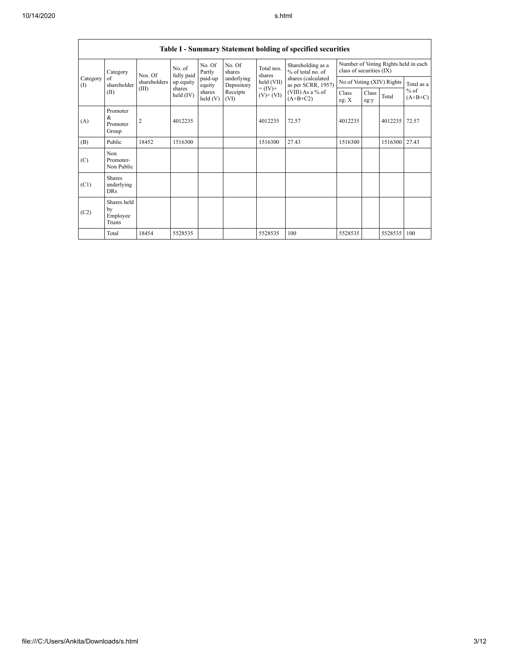|                   | Table I - Summary Statement holding of specified securities |                                 |                      |                   |                          |                                                     |                                                                                                                      |                                                                  |                      |               |                     |
|-------------------|-------------------------------------------------------------|---------------------------------|----------------------|-------------------|--------------------------|-----------------------------------------------------|----------------------------------------------------------------------------------------------------------------------|------------------------------------------------------------------|----------------------|---------------|---------------------|
|                   | Category<br>of<br>shareholder<br>(II)                       | Nos. Of                         | No. of<br>fully paid | No. Of<br>Partly  | No. Of<br>shares         | Total nos.<br>shares                                | Shareholding as a<br>% of total no. of<br>shares (calculated<br>as per SCRR, 1957)<br>(VIII) As a % of<br>$(A+B+C2)$ | Number of Voting Rights held in each<br>class of securities (IX) |                      |               |                     |
| Category<br>$($ I |                                                             | shareholders<br>(III)<br>shares | up equity            | paid-up<br>equity | underlying<br>Depository | $held$ (VII)<br>$= (\text{IV})^+$<br>$(V)$ + $(VI)$ |                                                                                                                      | No of Voting (XIV) Rights                                        |                      |               | Total as a          |
|                   |                                                             |                                 | held $(IV)$          | shares<br>held(V) | Receipts<br>(VI)         |                                                     |                                                                                                                      | Class<br>eg: $X$                                                 | <b>Class</b><br>eg:y | Total         | $%$ of<br>$(A+B+C)$ |
| (A)               | Promoter<br>$\&$<br>Promoter<br>Group                       | $\overline{2}$                  | 4012235              |                   |                          | 4012235                                             | 72.57                                                                                                                | 4012235                                                          |                      | 4012235 72.57 |                     |
| (B)               | Public                                                      | 18452                           | 1516300              |                   |                          | 1516300                                             | 27.43                                                                                                                | 1516300                                                          |                      | 1516300       | 27.43               |
| (C)               | Non<br>Promoter-<br>Non Public                              |                                 |                      |                   |                          |                                                     |                                                                                                                      |                                                                  |                      |               |                     |
| (C1)              | <b>Shares</b><br>underlying<br><b>DRs</b>                   |                                 |                      |                   |                          |                                                     |                                                                                                                      |                                                                  |                      |               |                     |
| (C2)              | Shares held<br>by<br>Employee<br>Trusts                     |                                 |                      |                   |                          |                                                     |                                                                                                                      |                                                                  |                      |               |                     |
|                   | Total                                                       | 18454                           | 5528535              |                   |                          | 5528535                                             | 100                                                                                                                  | 5528535                                                          |                      | 5528535       | 100                 |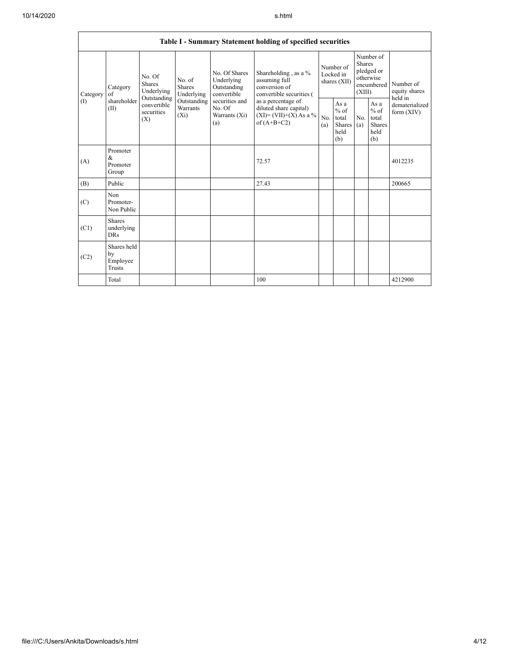| Table I - Summary Statement holding of specified securities |                                           |                                               |                                       |                                                           |                                                                                            |                                        |                                                  |                                                                               |                                                  |                                       |
|-------------------------------------------------------------|-------------------------------------------|-----------------------------------------------|---------------------------------------|-----------------------------------------------------------|--------------------------------------------------------------------------------------------|----------------------------------------|--------------------------------------------------|-------------------------------------------------------------------------------|--------------------------------------------------|---------------------------------------|
| Category                                                    | Category<br>of                            | No. Of<br>Shares<br>Underlying<br>Outstanding | No. of<br><b>Shares</b><br>Underlying | No. Of Shares<br>Underlying<br>Outstanding<br>convertible | Shareholding, as a %<br>assuming full<br>conversion of<br>convertible securities (         | Number of<br>Locked in<br>shares (XII) |                                                  | Number of<br><b>Shares</b><br>pledged or<br>otherwise<br>encumbered<br>(XIII) |                                                  | Number of<br>equity shares<br>held in |
| (1)                                                         | shareholder<br>(II)                       | convertible<br>securities<br>(X)              | Outstanding<br>Warrants<br>$(X_i)$    | securities and<br>No. Of<br>Warrants (Xi)<br>(a)          | as a percentage of<br>diluted share capital)<br>$(XI) = (VII)+(X) As a %$<br>of $(A+B+C2)$ | No.<br>(a)                             | As a<br>$%$ of<br>total<br>Shares<br>held<br>(b) | No.<br>(a)                                                                    | As a<br>$%$ of<br>total<br>Shares<br>held<br>(b) | dematerialized<br>form $(XIV)$        |
| (A)                                                         | Promoter<br>$\&$<br>Promoter<br>Group     |                                               |                                       |                                                           | 72.57                                                                                      |                                        |                                                  |                                                                               |                                                  | 4012235                               |
| (B)                                                         | Public                                    |                                               |                                       |                                                           | 27.43                                                                                      |                                        |                                                  |                                                                               |                                                  | 200665                                |
| (C)                                                         | Non<br>Promoter-<br>Non Public            |                                               |                                       |                                                           |                                                                                            |                                        |                                                  |                                                                               |                                                  |                                       |
| (C1)                                                        | <b>Shares</b><br>underlying<br><b>DRs</b> |                                               |                                       |                                                           |                                                                                            |                                        |                                                  |                                                                               |                                                  |                                       |
| (C2)                                                        | Shares held<br>by<br>Employee<br>Trusts   |                                               |                                       |                                                           |                                                                                            |                                        |                                                  |                                                                               |                                                  |                                       |
|                                                             | Total                                     |                                               |                                       |                                                           | 100                                                                                        |                                        |                                                  |                                                                               |                                                  | 4212900                               |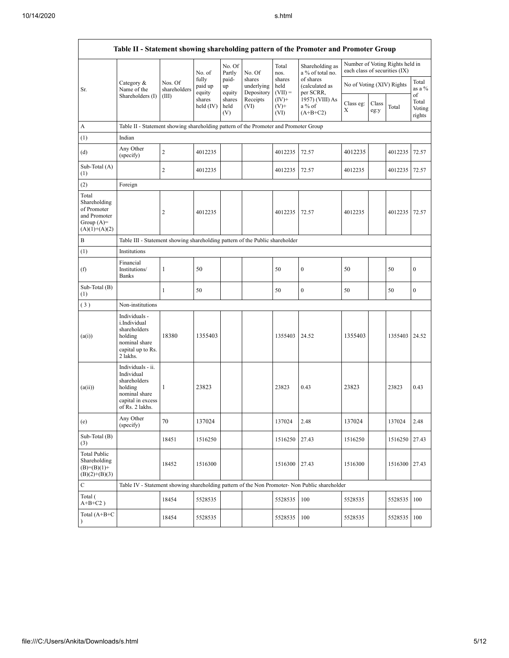|                                                                                         | Table II - Statement showing shareholding pattern of the Promoter and Promoter Group                                |                         |                            |                       |                                    |                             |                                                                                               |                               |               |                                 |                           |  |
|-----------------------------------------------------------------------------------------|---------------------------------------------------------------------------------------------------------------------|-------------------------|----------------------------|-----------------------|------------------------------------|-----------------------------|-----------------------------------------------------------------------------------------------|-------------------------------|---------------|---------------------------------|---------------------------|--|
|                                                                                         |                                                                                                                     |                         | No. of                     | No. Of<br>Partly      | No. Of                             | Total<br>nos.               | Shareholding as<br>a % of total no.                                                           | each class of securities (IX) |               | Number of Voting Rights held in |                           |  |
| Sr.                                                                                     | Category &<br>Name of the                                                                                           | Nos. Of<br>shareholders | fully<br>paid up<br>equity | paid-<br>up<br>equity | shares<br>underlying<br>Depository | shares<br>held<br>$(VII) =$ | of shares<br>(calculated as<br>per SCRR,                                                      | No of Voting (XIV) Rights     |               |                                 | Total<br>as a %<br>of     |  |
|                                                                                         | Shareholders (I)                                                                                                    | (III)                   | shares<br>held $(IV)$      | shares<br>held<br>(V) | Receipts<br>(VI)                   | $(IV)^+$<br>$(V)$ +<br>(VI) | 1957) (VIII) As<br>$a\%$ of<br>$(A+B+C2)$                                                     | Class eg:<br>Х                | Class<br>eg:y | Total                           | Total<br>Voting<br>rights |  |
| A                                                                                       | Table II - Statement showing shareholding pattern of the Promoter and Promoter Group                                |                         |                            |                       |                                    |                             |                                                                                               |                               |               |                                 |                           |  |
| (1)                                                                                     | Indian                                                                                                              |                         |                            |                       |                                    |                             |                                                                                               |                               |               |                                 |                           |  |
| (d)                                                                                     | Any Other<br>(specify)                                                                                              | $\overline{c}$          | 4012235                    |                       |                                    | 4012235                     | 72.57                                                                                         | 4012235                       |               | 4012235                         | 72.57                     |  |
| Sub-Total (A)<br>(1)                                                                    |                                                                                                                     | $\overline{c}$          | 4012235                    |                       |                                    | 4012235                     | 72.57                                                                                         | 4012235                       |               | 4012235                         | 72.57                     |  |
| (2)                                                                                     | Foreign                                                                                                             |                         |                            |                       |                                    |                             |                                                                                               |                               |               |                                 |                           |  |
| Total<br>Shareholding<br>of Promoter<br>and Promoter<br>Group $(A)=$<br>$(A)(1)+(A)(2)$ |                                                                                                                     | $\overline{2}$          | 4012235                    |                       |                                    | 4012235                     | 72.57                                                                                         | 4012235                       |               | 4012235                         | 72.57                     |  |
| B                                                                                       | Table III - Statement showing shareholding pattern of the Public shareholder                                        |                         |                            |                       |                                    |                             |                                                                                               |                               |               |                                 |                           |  |
| (1)                                                                                     | Institutions                                                                                                        |                         |                            |                       |                                    |                             |                                                                                               |                               |               |                                 |                           |  |
| (f)                                                                                     | Financial<br>Institutions/<br><b>Banks</b>                                                                          | 1                       | 50                         |                       |                                    | 50                          | $\boldsymbol{0}$                                                                              | 50                            |               | 50                              | $\boldsymbol{0}$          |  |
| Sub-Total (B)<br>(1)                                                                    |                                                                                                                     | $\mathbf{1}$            | 50                         |                       |                                    | 50                          | $\boldsymbol{0}$                                                                              | 50                            |               | 50                              | $\boldsymbol{0}$          |  |
| (3)                                                                                     | Non-institutions                                                                                                    |                         |                            |                       |                                    |                             |                                                                                               |                               |               |                                 |                           |  |
| (a(i))                                                                                  | Individuals -<br>i.Individual<br>shareholders<br>holding<br>nominal share<br>capital up to Rs.<br>2 lakhs.          | 18380                   | 1355403                    |                       |                                    | 1355403 24.52               |                                                                                               | 1355403                       |               | 1355403 24.52                   |                           |  |
| (a(ii))                                                                                 | Individuals - ii.<br>Individual<br>shareholders<br>holding<br>nominal share<br>capital in excess<br>of Rs. 2 lakhs. | 1                       | 23823                      |                       |                                    | 23823                       | 0.43                                                                                          | 23823                         |               | 23823                           | 0.43                      |  |
| (e)                                                                                     | Any Other<br>(specify)                                                                                              | 70                      | 137024                     |                       |                                    | 137024                      | 2.48                                                                                          | 137024                        |               | 137024                          | 2.48                      |  |
| Sub-Total (B)<br>(3)                                                                    |                                                                                                                     | 18451                   | 1516250                    |                       |                                    | 1516250                     | 27.43                                                                                         | 1516250                       |               | 1516250                         | 27.43                     |  |
| Total Public<br>Shareholding<br>$(B)=(B)(1)+$<br>$(B)(2)+(B)(3)$                        |                                                                                                                     | 18452                   | 1516300                    |                       |                                    | 1516300                     | 27.43                                                                                         | 1516300                       |               | 1516300 27.43                   |                           |  |
| $\mathbf C$                                                                             |                                                                                                                     |                         |                            |                       |                                    |                             | Table IV - Statement showing shareholding pattern of the Non Promoter- Non Public shareholder |                               |               |                                 |                           |  |
| Total (<br>$A+B+C2$ )                                                                   |                                                                                                                     | 18454                   | 5528535                    |                       |                                    | 5528535                     | 100                                                                                           | 5528535                       |               | 5528535                         | 100                       |  |
| Total (A+B+C<br>$\mathcal{E}$                                                           |                                                                                                                     | 18454                   | 5528535                    |                       |                                    | 5528535                     | 100                                                                                           | 5528535                       |               | 5528535                         | 100                       |  |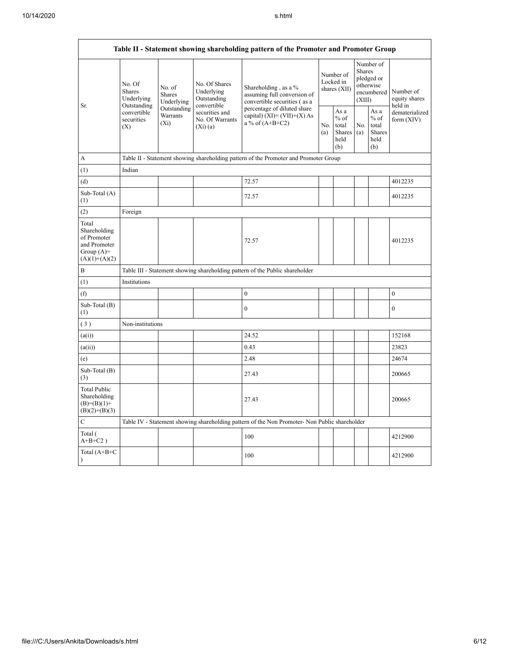$\mathbf{r}$ 

|                                                                                         | Table II - Statement showing shareholding pattern of the Promoter and Promoter Group                                    |                                    |                                                           |                                                                                               |            |                                                         |            |                                                                        |                                       |
|-----------------------------------------------------------------------------------------|-------------------------------------------------------------------------------------------------------------------------|------------------------------------|-----------------------------------------------------------|-----------------------------------------------------------------------------------------------|------------|---------------------------------------------------------|------------|------------------------------------------------------------------------|---------------------------------------|
| Sr.                                                                                     | No. Of<br>No. of<br>Shares<br><b>Shares</b><br>Underlying<br>Outstanding<br>convertible<br>securities<br>$(X_i)$<br>(X) | Underlying                         | No. Of Shares<br>Underlying<br>Outstanding<br>convertible | Shareholding, as a %<br>assuming full conversion of<br>convertible securities (as a           |            | Number of<br>Locked in<br>shares (XII)                  |            | Number of<br>Shares<br>pledged or<br>otherwise<br>encumbered<br>(XIII) | Number of<br>equity shares<br>held in |
|                                                                                         |                                                                                                                         | Outstanding<br>Warrants<br>(Xi)(a) | securities and<br>No. Of Warrants                         | percentage of diluted share<br>capital) $(XI) = (VII)+(X) As$<br>a % of $(A+B+C2)$            | No.<br>(a) | As a<br>$%$ of<br>total<br><b>Shares</b><br>held<br>(b) | No.<br>(a) | As a<br>$%$ of<br>total<br><b>Shares</b><br>held<br>(b)                | dematerialized<br>form $(XIV)$        |
| A                                                                                       |                                                                                                                         |                                    |                                                           | Table II - Statement showing shareholding pattern of the Promoter and Promoter Group          |            |                                                         |            |                                                                        |                                       |
| (1)                                                                                     | Indian                                                                                                                  |                                    |                                                           |                                                                                               |            |                                                         |            |                                                                        |                                       |
| (d)                                                                                     |                                                                                                                         |                                    |                                                           | 72.57                                                                                         |            |                                                         |            |                                                                        | 4012235                               |
| Sub-Total (A)<br>(1)                                                                    |                                                                                                                         |                                    |                                                           | 72.57                                                                                         |            |                                                         |            |                                                                        | 4012235                               |
| (2)                                                                                     | Foreign                                                                                                                 |                                    |                                                           |                                                                                               |            |                                                         |            |                                                                        |                                       |
| Total<br>Shareholding<br>of Promoter<br>and Promoter<br>Group $(A)=$<br>$(A)(1)+(A)(2)$ |                                                                                                                         |                                    |                                                           | 72.57                                                                                         |            |                                                         |            |                                                                        | 4012235                               |
| B                                                                                       |                                                                                                                         |                                    |                                                           | Table III - Statement showing shareholding pattern of the Public shareholder                  |            |                                                         |            |                                                                        |                                       |
| (1)                                                                                     | Institutions                                                                                                            |                                    |                                                           |                                                                                               |            |                                                         |            |                                                                        |                                       |
| (f)                                                                                     |                                                                                                                         |                                    |                                                           | $\mathbf{0}$                                                                                  |            |                                                         |            |                                                                        | $\boldsymbol{0}$                      |
| Sub-Total (B)<br>(1)                                                                    |                                                                                                                         |                                    |                                                           | $\mathbf{0}$                                                                                  |            |                                                         |            |                                                                        | $\mathbf{0}$                          |
| (3)                                                                                     | Non-institutions                                                                                                        |                                    |                                                           |                                                                                               |            |                                                         |            |                                                                        |                                       |
| (a(i))                                                                                  |                                                                                                                         |                                    |                                                           | 24.52                                                                                         |            |                                                         |            |                                                                        | 152168                                |
| (a(ii))                                                                                 |                                                                                                                         |                                    |                                                           | 0.43                                                                                          |            |                                                         |            |                                                                        | 23823                                 |
| (e)                                                                                     |                                                                                                                         |                                    |                                                           | 2.48                                                                                          |            |                                                         |            |                                                                        | 24674                                 |
| Sub-Total (B)<br>(3)                                                                    |                                                                                                                         |                                    |                                                           | 27.43                                                                                         |            |                                                         |            |                                                                        | 200665                                |
| <b>Total Public</b><br>Shareholding<br>$(B)=(B)(1)+$<br>$(B)(2)+(B)(3)$                 |                                                                                                                         |                                    |                                                           | 27.43                                                                                         |            |                                                         |            |                                                                        | 200665                                |
| $\mathsf{C}$                                                                            |                                                                                                                         |                                    |                                                           | Table IV - Statement showing shareholding pattern of the Non Promoter- Non Public shareholder |            |                                                         |            |                                                                        |                                       |
| Total (<br>$A+B+C2$ )                                                                   |                                                                                                                         |                                    |                                                           | 100                                                                                           |            |                                                         |            |                                                                        | 4212900                               |
| Total $(A+B+C)$<br>$\lambda$                                                            |                                                                                                                         |                                    |                                                           | 100                                                                                           |            |                                                         |            |                                                                        | 4212900                               |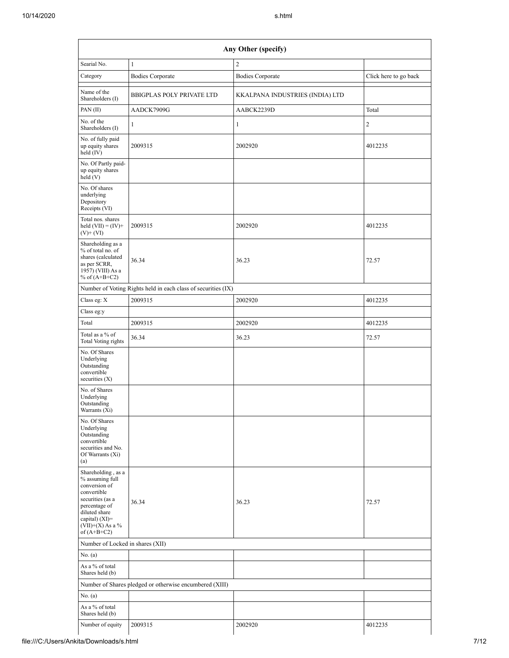| Any Other (specify)                                                                                                                                                                    |                                                               |                                 |                       |  |  |  |
|----------------------------------------------------------------------------------------------------------------------------------------------------------------------------------------|---------------------------------------------------------------|---------------------------------|-----------------------|--|--|--|
| Searial No.                                                                                                                                                                            | $\mathbf{1}$                                                  | $\sqrt{2}$                      |                       |  |  |  |
| Category                                                                                                                                                                               | <b>Bodies Corporate</b>                                       | <b>Bodies Corporate</b>         | Click here to go back |  |  |  |
| Name of the<br>Shareholders (I)                                                                                                                                                        | <b>BBIGPLAS POLY PRIVATE LTD</b>                              | KKALPANA INDUSTRIES (INDIA) LTD |                       |  |  |  |
| PAN (II)                                                                                                                                                                               | AADCK7909G                                                    | AABCK2239D                      | Total                 |  |  |  |
| No. of the<br>Shareholders (I)                                                                                                                                                         | $\mathbf{1}$                                                  | $\mathbf{1}$                    | $\overline{c}$        |  |  |  |
| No. of fully paid<br>up equity shares<br>held (IV)                                                                                                                                     | 2009315                                                       | 2002920                         | 4012235               |  |  |  |
| No. Of Partly paid-<br>up equity shares<br>held(V)                                                                                                                                     |                                                               |                                 |                       |  |  |  |
| No. Of shares<br>underlying<br>Depository<br>Receipts (VI)                                                                                                                             |                                                               |                                 |                       |  |  |  |
| Total nos. shares<br>held $(VII) = (IV) +$<br>$(V)$ + $(VI)$                                                                                                                           | 2009315                                                       | 2002920                         | 4012235               |  |  |  |
| Shareholding as a<br>% of total no. of<br>shares (calculated<br>as per SCRR,<br>1957) (VIII) As a<br>% of $(A+B+C2)$                                                                   | 36.34                                                         | 36.23                           | 72.57                 |  |  |  |
|                                                                                                                                                                                        | Number of Voting Rights held in each class of securities (IX) |                                 |                       |  |  |  |
| Class eg: X                                                                                                                                                                            | 2009315                                                       | 2002920                         | 4012235               |  |  |  |
| Class eg:y                                                                                                                                                                             |                                                               |                                 |                       |  |  |  |
| Total                                                                                                                                                                                  | 2009315                                                       | 2002920                         | 4012235               |  |  |  |
| Total as a % of<br>Total Voting rights                                                                                                                                                 | 36.34                                                         | 36.23                           | 72.57                 |  |  |  |
| No. Of Shares<br>Underlying<br>Outstanding<br>convertible<br>securities $(X)$                                                                                                          |                                                               |                                 |                       |  |  |  |
| No. of Shares<br>Underlying<br>Outstanding<br>Warrants (Xi)                                                                                                                            |                                                               |                                 |                       |  |  |  |
| No. Of Shares<br>Underlying<br>Outstanding<br>convertible<br>securities and No.<br>Of Warrants (Xi)<br>(a)                                                                             |                                                               |                                 |                       |  |  |  |
| Shareholding, as a<br>% assuming full<br>conversion of<br>convertible<br>securities (as a<br>percentage of<br>diluted share<br>capital) $(XI)=$<br>$(VII)+(X)$ As a %<br>of $(A+B+C2)$ | 36.34                                                         | 36.23                           | 72.57                 |  |  |  |
| Number of Locked in shares (XII)                                                                                                                                                       |                                                               |                                 |                       |  |  |  |
| No. (a)                                                                                                                                                                                |                                                               |                                 |                       |  |  |  |
| As a % of total<br>Shares held (b)                                                                                                                                                     |                                                               |                                 |                       |  |  |  |
|                                                                                                                                                                                        | Number of Shares pledged or otherwise encumbered (XIII)       |                                 |                       |  |  |  |
| No. (a)                                                                                                                                                                                |                                                               |                                 |                       |  |  |  |
| As a % of total<br>Shares held (b)                                                                                                                                                     |                                                               |                                 |                       |  |  |  |
| Number of equity                                                                                                                                                                       | 2009315                                                       | 2002920                         | 4012235               |  |  |  |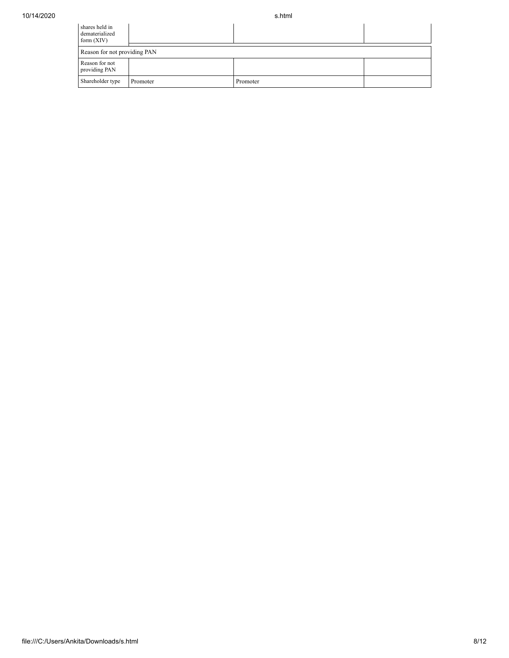| shares held in<br>dematerialized<br>form $(XIV)$ |          |          |  |  |  |  |
|--------------------------------------------------|----------|----------|--|--|--|--|
| Reason for not providing PAN                     |          |          |  |  |  |  |
| Reason for not<br>providing PAN                  |          |          |  |  |  |  |
| Shareholder type                                 | Promoter | Promoter |  |  |  |  |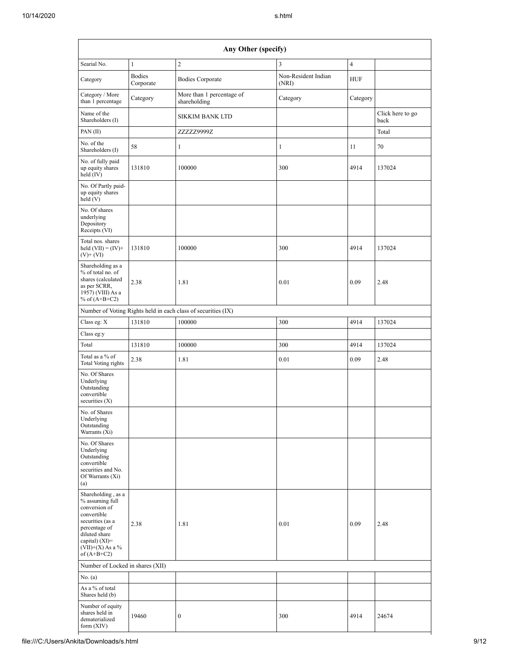|                                                                                                                                                                                        | Any Other (specify)        |                                                               |                              |                |                          |  |  |  |  |
|----------------------------------------------------------------------------------------------------------------------------------------------------------------------------------------|----------------------------|---------------------------------------------------------------|------------------------------|----------------|--------------------------|--|--|--|--|
| Searial No.                                                                                                                                                                            | $\mathbf{1}$               | $\overline{2}$                                                | 3                            | $\overline{4}$ |                          |  |  |  |  |
| Category                                                                                                                                                                               | <b>Bodies</b><br>Corporate | <b>Bodies Corporate</b>                                       | Non-Resident Indian<br>(NRI) | <b>HUF</b>     |                          |  |  |  |  |
| Category / More<br>than 1 percentage                                                                                                                                                   | Category                   | More than 1 percentage of<br>shareholding                     | Category                     | Category       |                          |  |  |  |  |
| Name of the<br>Shareholders (I)                                                                                                                                                        |                            | <b>SIKKIM BANK LTD</b>                                        |                              |                | Click here to go<br>back |  |  |  |  |
| PAN (II)                                                                                                                                                                               |                            | ZZZZZ9999Z                                                    |                              |                | Total                    |  |  |  |  |
| No. of the<br>Shareholders (I)                                                                                                                                                         | 58                         | $\mathbf{1}$                                                  | $\mathbf{1}$                 | 11             | 70                       |  |  |  |  |
| No. of fully paid<br>up equity shares<br>held (IV)                                                                                                                                     | 131810                     | 100000                                                        | 300                          | 4914           | 137024                   |  |  |  |  |
| No. Of Partly paid-<br>up equity shares<br>held (V)                                                                                                                                    |                            |                                                               |                              |                |                          |  |  |  |  |
| No. Of shares<br>underlying<br>Depository<br>Receipts (VI)                                                                                                                             |                            |                                                               |                              |                |                          |  |  |  |  |
| Total nos. shares<br>held $(VII) = (IV) +$<br>$(V)$ + $(VI)$                                                                                                                           | 131810                     | 100000                                                        | 300                          | 4914           | 137024                   |  |  |  |  |
| Shareholding as a<br>% of total no. of<br>shares (calculated<br>as per SCRR,<br>1957) (VIII) As a<br>% of $(A+B+C2)$                                                                   | 2.38                       | 1.81                                                          | 0.01                         | 0.09           | 2.48                     |  |  |  |  |
|                                                                                                                                                                                        |                            | Number of Voting Rights held in each class of securities (IX) |                              |                |                          |  |  |  |  |
| Class eg: X                                                                                                                                                                            | 131810                     | 100000                                                        | 300                          | 4914           | 137024                   |  |  |  |  |
| Class eg:y                                                                                                                                                                             |                            |                                                               |                              |                |                          |  |  |  |  |
| Total                                                                                                                                                                                  | 131810                     | 100000                                                        | 300                          | 4914           | 137024                   |  |  |  |  |
| Total as a % of<br><b>Total Voting rights</b>                                                                                                                                          | 2.38                       | 1.81                                                          | 0.01                         | 0.09           | 2.48                     |  |  |  |  |
| No. Of Shares<br>Underlying<br>Outstanding<br>convertible<br>securities $(X)$                                                                                                          |                            |                                                               |                              |                |                          |  |  |  |  |
| No. of Shares<br>Underlying<br>Outstanding<br>Warrants (Xi)                                                                                                                            |                            |                                                               |                              |                |                          |  |  |  |  |
| No. Of Shares<br>Underlying<br>Outstanding<br>convertible<br>securities and No.<br>Of Warrants (Xi)<br>(a)                                                                             |                            |                                                               |                              |                |                          |  |  |  |  |
| Shareholding, as a<br>% assuming full<br>conversion of<br>convertible<br>securities (as a<br>percentage of<br>diluted share<br>capital) $(XI)=$<br>$(VII)+(X)$ As a %<br>of $(A+B+C2)$ | 2.38                       | 1.81                                                          | 0.01                         | 0.09           | 2.48                     |  |  |  |  |
| Number of Locked in shares (XII)                                                                                                                                                       |                            |                                                               |                              |                |                          |  |  |  |  |
| No. (a)                                                                                                                                                                                |                            |                                                               |                              |                |                          |  |  |  |  |
| As a % of total<br>Shares held (b)                                                                                                                                                     |                            |                                                               |                              |                |                          |  |  |  |  |
| Number of equity<br>shares held in<br>dematerialized<br>form $(XIV)$                                                                                                                   | 19460                      | $\boldsymbol{0}$                                              | 300                          | 4914           | 24674                    |  |  |  |  |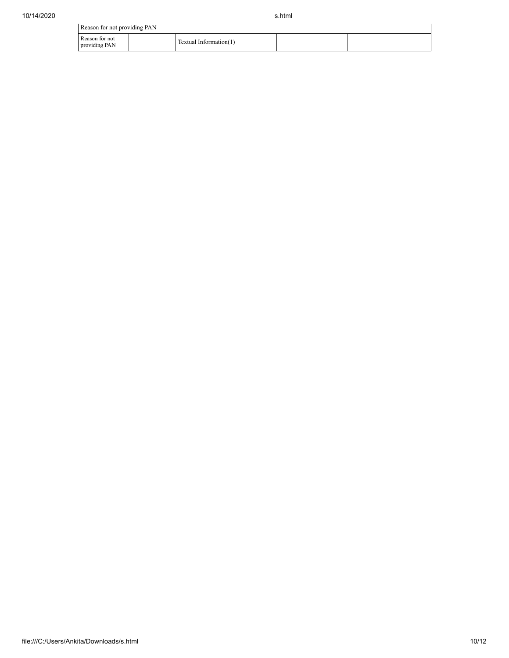| Reason for not providing PAN    |                        |  |  |
|---------------------------------|------------------------|--|--|
| Reason for not<br>providing PAN | Textual Information(1) |  |  |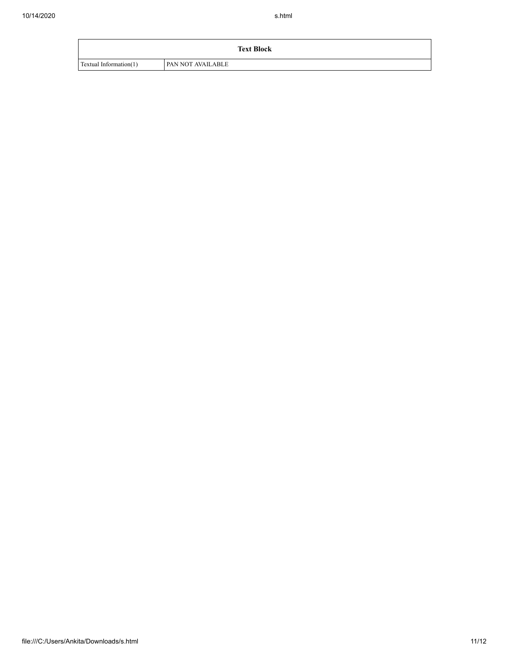|                        | <b>Text Block</b> |
|------------------------|-------------------|
| Textual Information(1) | PAN NOT AVAILABLE |